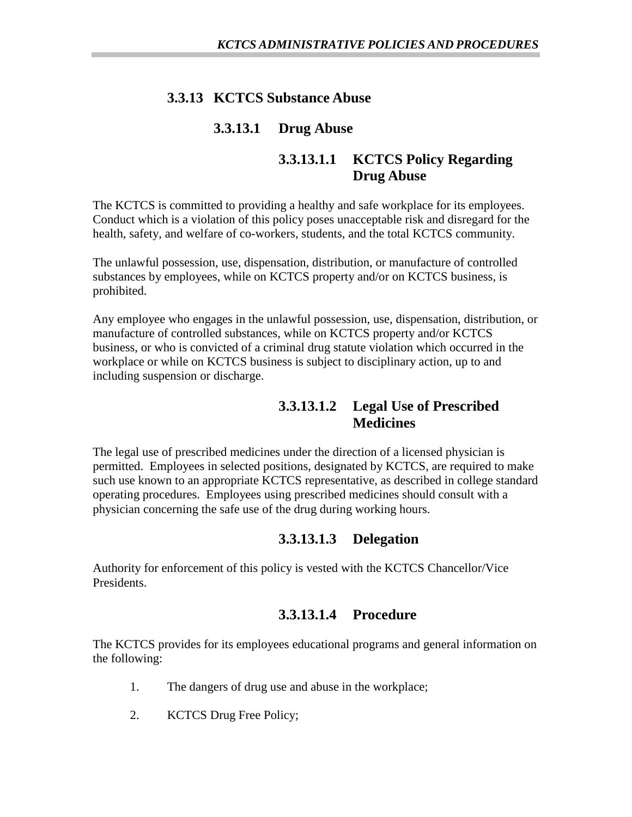### **3.3.13 KCTCS Substance Abuse**

#### **3.3.13.1 Drug Abuse**

#### **3.3.13.1.1 KCTCS Policy Regarding Drug Abuse**

The KCTCS is committed to providing a healthy and safe workplace for its employees. Conduct which is a violation of this policy poses unacceptable risk and disregard for the health, safety, and welfare of co-workers, students, and the total KCTCS community.

The unlawful possession, use, dispensation, distribution, or manufacture of controlled substances by employees, while on KCTCS property and/or on KCTCS business, is prohibited.

Any employee who engages in the unlawful possession, use, dispensation, distribution, or manufacture of controlled substances, while on KCTCS property and/or KCTCS business, or who is convicted of a criminal drug statute violation which occurred in the workplace or while on KCTCS business is subject to disciplinary action, up to and including suspension or discharge.

### **3.3.13.1.2 Legal Use of Prescribed Medicines**

The legal use of prescribed medicines under the direction of a licensed physician is permitted. Employees in selected positions, designated by KCTCS, are required to make such use known to an appropriate KCTCS representative, as described in college standard operating procedures. Employees using prescribed medicines should consult with a physician concerning the safe use of the drug during working hours.

### **3.3.13.1.3 Delegation**

Authority for enforcement of this policy is vested with the KCTCS Chancellor/Vice Presidents.

### **3.3.13.1.4 Procedure**

The KCTCS provides for its employees educational programs and general information on the following:

- 1. The dangers of drug use and abuse in the workplace;
- 2. KCTCS Drug Free Policy;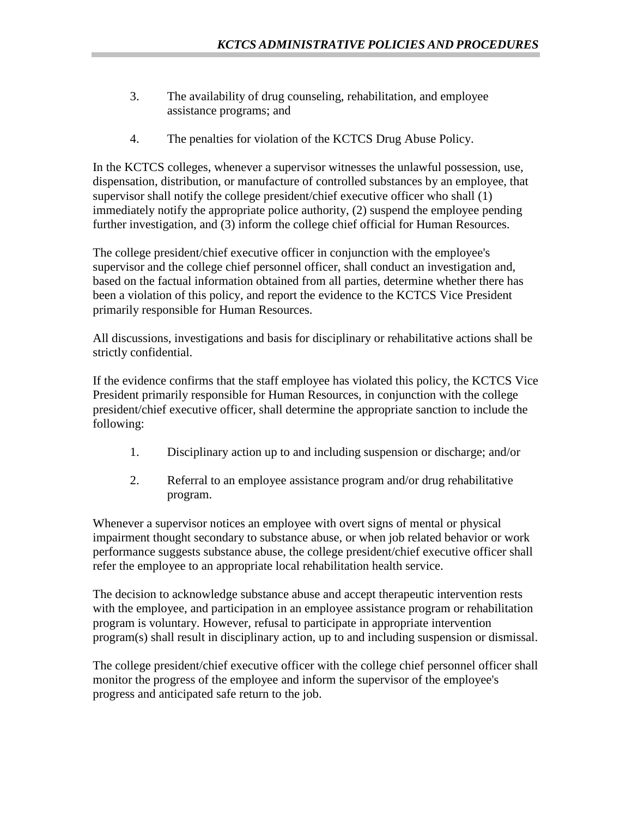- 3. The availability of drug counseling, rehabilitation, and employee assistance programs; and
- 4. The penalties for violation of the KCTCS Drug Abuse Policy.

In the KCTCS colleges, whenever a supervisor witnesses the unlawful possession, use, dispensation, distribution, or manufacture of controlled substances by an employee, that supervisor shall notify the college president/chief executive officer who shall (1) immediately notify the appropriate police authority, (2) suspend the employee pending further investigation, and (3) inform the college chief official for Human Resources.

The college president/chief executive officer in conjunction with the employee's supervisor and the college chief personnel officer, shall conduct an investigation and, based on the factual information obtained from all parties, determine whether there has been a violation of this policy, and report the evidence to the KCTCS Vice President primarily responsible for Human Resources.

All discussions, investigations and basis for disciplinary or rehabilitative actions shall be strictly confidential.

If the evidence confirms that the staff employee has violated this policy, the KCTCS Vice President primarily responsible for Human Resources, in conjunction with the college president/chief executive officer, shall determine the appropriate sanction to include the following:

- 1. Disciplinary action up to and including suspension or discharge; and/or
- 2. Referral to an employee assistance program and/or drug rehabilitative program.

Whenever a supervisor notices an employee with overt signs of mental or physical impairment thought secondary to substance abuse, or when job related behavior or work performance suggests substance abuse, the college president/chief executive officer shall refer the employee to an appropriate local rehabilitation health service.

The decision to acknowledge substance abuse and accept therapeutic intervention rests with the employee, and participation in an employee assistance program or rehabilitation program is voluntary. However, refusal to participate in appropriate intervention program(s) shall result in disciplinary action, up to and including suspension or dismissal.

The college president/chief executive officer with the college chief personnel officer shall monitor the progress of the employee and inform the supervisor of the employee's progress and anticipated safe return to the job.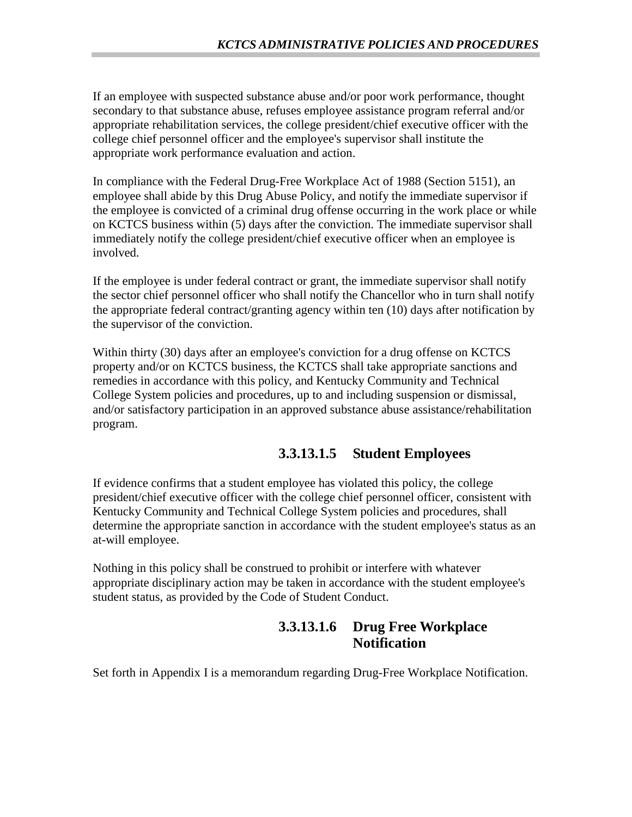If an employee with suspected substance abuse and/or poor work performance, thought secondary to that substance abuse, refuses employee assistance program referral and/or appropriate rehabilitation services, the college president/chief executive officer with the college chief personnel officer and the employee's supervisor shall institute the appropriate work performance evaluation and action.

In compliance with the Federal Drug-Free Workplace Act of 1988 (Section 5151), an employee shall abide by this Drug Abuse Policy, and notify the immediate supervisor if the employee is convicted of a criminal drug offense occurring in the work place or while on KCTCS business within (5) days after the conviction. The immediate supervisor shall immediately notify the college president/chief executive officer when an employee is involved.

If the employee is under federal contract or grant, the immediate supervisor shall notify the sector chief personnel officer who shall notify the Chancellor who in turn shall notify the appropriate federal contract/granting agency within ten (10) days after notification by the supervisor of the conviction.

Within thirty (30) days after an employee's conviction for a drug offense on KCTCS property and/or on KCTCS business, the KCTCS shall take appropriate sanctions and remedies in accordance with this policy, and Kentucky Community and Technical College System policies and procedures*,* up to and including suspension or dismissal, and/or satisfactory participation in an approved substance abuse assistance/rehabilitation program.

# **3.3.13.1.5 Student Employees**

If evidence confirms that a student employee has violated this policy, the college president/chief executive officer with the college chief personnel officer, consistent with Kentucky Community and Technical College System policies and procedures, shall determine the appropriate sanction in accordance with the student employee's status as an at-will employee.

Nothing in this policy shall be construed to prohibit or interfere with whatever appropriate disciplinary action may be taken in accordance with the student employee's student status, as provided by the Code of Student Conduct.

## **3.3.13.1.6 Drug Free Workplace Notification**

Set forth in Appendix I is a memorandum regarding Drug-Free Workplace Notification.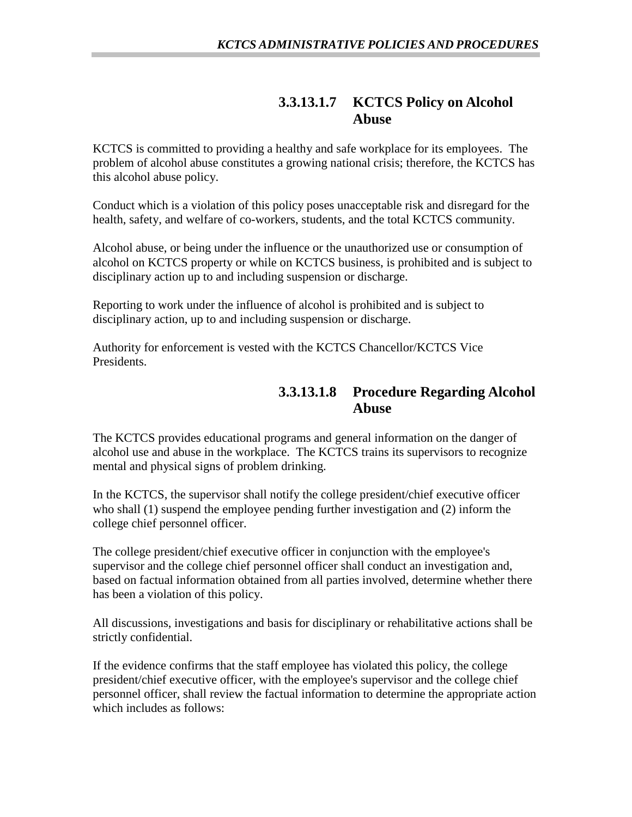#### **3.3.13.1.7 KCTCS Policy on Alcohol Abuse**

KCTCS is committed to providing a healthy and safe workplace for its employees. The problem of alcohol abuse constitutes a growing national crisis; therefore, the KCTCS has this alcohol abuse policy.

Conduct which is a violation of this policy poses unacceptable risk and disregard for the health, safety, and welfare of co-workers, students, and the total KCTCS community.

Alcohol abuse, or being under the influence or the unauthorized use or consumption of alcohol on KCTCS property or while on KCTCS business, is prohibited and is subject to disciplinary action up to and including suspension or discharge.

Reporting to work under the influence of alcohol is prohibited and is subject to disciplinary action, up to and including suspension or discharge.

Authority for enforcement is vested with the KCTCS Chancellor/KCTCS Vice Presidents.

### **3.3.13.1.8 Procedure Regarding Alcohol Abuse**

The KCTCS provides educational programs and general information on the danger of alcohol use and abuse in the workplace. The KCTCS trains its supervisors to recognize mental and physical signs of problem drinking.

In the KCTCS, the supervisor shall notify the college president/chief executive officer who shall (1) suspend the employee pending further investigation and (2) inform the college chief personnel officer.

The college president/chief executive officer in conjunction with the employee's supervisor and the college chief personnel officer shall conduct an investigation and, based on factual information obtained from all parties involved, determine whether there has been a violation of this policy.

All discussions, investigations and basis for disciplinary or rehabilitative actions shall be strictly confidential.

If the evidence confirms that the staff employee has violated this policy, the college president/chief executive officer, with the employee's supervisor and the college chief personnel officer, shall review the factual information to determine the appropriate action which includes as follows: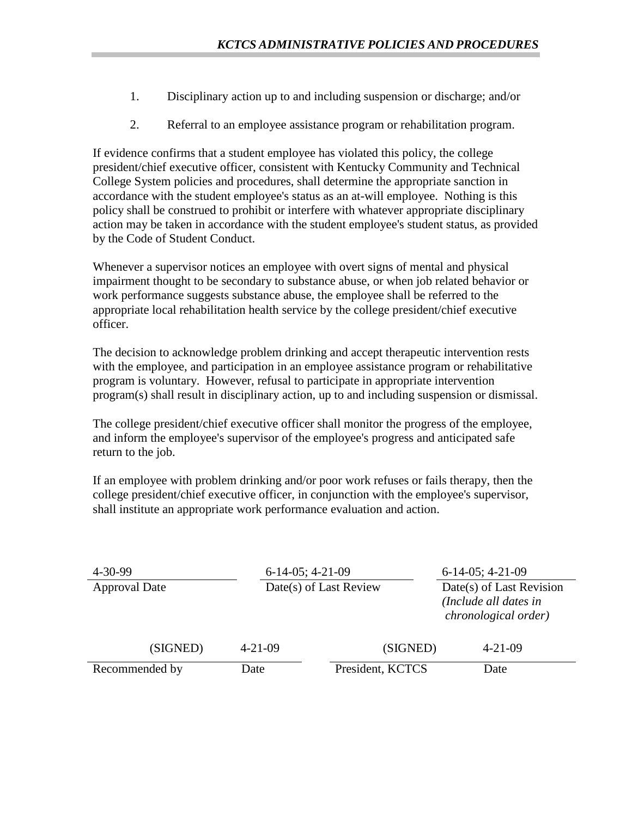- 1. Disciplinary action up to and including suspension or discharge; and/or
- 2. Referral to an employee assistance program or rehabilitation program.

If evidence confirms that a student employee has violated this policy, the college president/chief executive officer, consistent with Kentucky Community and Technical College System policies and procedures, shall determine the appropriate sanction in accordance with the student employee's status as an at-will employee. Nothing is this policy shall be construed to prohibit or interfere with whatever appropriate disciplinary action may be taken in accordance with the student employee's student status, as provided by the Code of Student Conduct.

Whenever a supervisor notices an employee with overt signs of mental and physical impairment thought to be secondary to substance abuse, or when job related behavior or work performance suggests substance abuse, the employee shall be referred to the appropriate local rehabilitation health service by the college president/chief executive officer.

The decision to acknowledge problem drinking and accept therapeutic intervention rests with the employee, and participation in an employee assistance program or rehabilitative program is voluntary. However, refusal to participate in appropriate intervention program(s) shall result in disciplinary action, up to and including suspension or dismissal.

The college president/chief executive officer shall monitor the progress of the employee, and inform the employee's supervisor of the employee's progress and anticipated safe return to the job.

If an employee with problem drinking and/or poor work refuses or fails therapy, then the college president/chief executive officer, in conjunction with the employee's supervisor, shall institute an appropriate work performance evaluation and action.

| $4 - 30 - 99$<br>$6-14-05$ ; 4-21-09 |                        |                  | $6-14-05$ ; 4-21-09                                                       |  |
|--------------------------------------|------------------------|------------------|---------------------------------------------------------------------------|--|
| <b>Approval Date</b>                 | Date(s) of Last Review |                  | Date(s) of Last Revision<br>(Include all dates in<br>chronological order) |  |
| (SIGNED)                             | $4 - 21 - 09$          | (SIGNED)         | $4 - 21 - 09$                                                             |  |
| Recommended by                       | Date                   | President, KCTCS | Date                                                                      |  |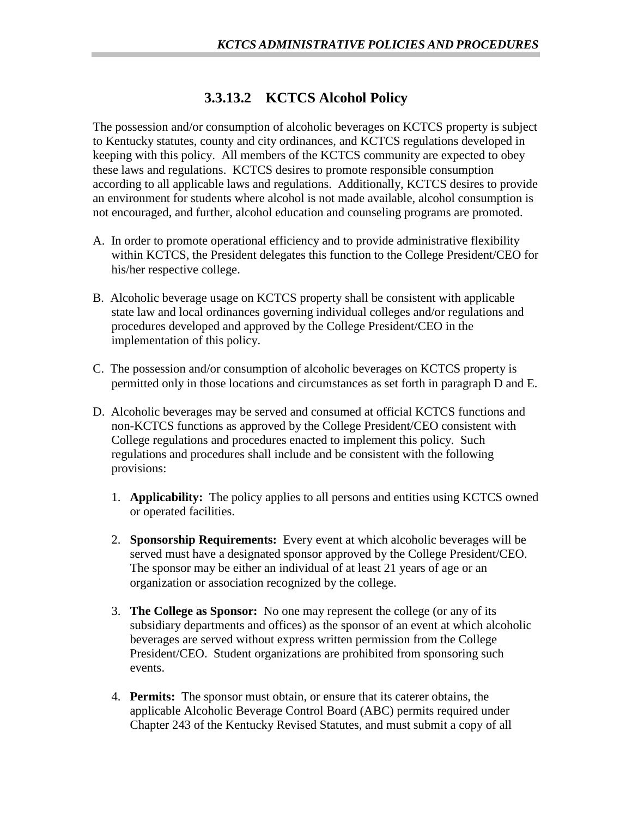## **3.3.13.2 KCTCS Alcohol Policy**

The possession and/or consumption of alcoholic beverages on KCTCS property is subject to Kentucky statutes, county and city ordinances, and KCTCS regulations developed in keeping with this policy. All members of the KCTCS community are expected to obey these laws and regulations. KCTCS desires to promote responsible consumption according to all applicable laws and regulations. Additionally, KCTCS desires to provide an environment for students where alcohol is not made available, alcohol consumption is not encouraged, and further, alcohol education and counseling programs are promoted.

- A. In order to promote operational efficiency and to provide administrative flexibility within KCTCS, the President delegates this function to the College President/CEO for his/her respective college.
- B. Alcoholic beverage usage on KCTCS property shall be consistent with applicable state law and local ordinances governing individual colleges and/or regulations and procedures developed and approved by the College President/CEO in the implementation of this policy.
- C. The possession and/or consumption of alcoholic beverages on KCTCS property is permitted only in those locations and circumstances as set forth in paragraph D and E.
- D. Alcoholic beverages may be served and consumed at official KCTCS functions and non-KCTCS functions as approved by the College President/CEO consistent with College regulations and procedures enacted to implement this policy. Such regulations and procedures shall include and be consistent with the following provisions:
	- 1. **Applicability:** The policy applies to all persons and entities using KCTCS owned or operated facilities.
	- 2. **Sponsorship Requirements:** Every event at which alcoholic beverages will be served must have a designated sponsor approved by the College President/CEO. The sponsor may be either an individual of at least 21 years of age or an organization or association recognized by the college.
	- 3. **The College as Sponsor:** No one may represent the college (or any of its subsidiary departments and offices) as the sponsor of an event at which alcoholic beverages are served without express written permission from the College President/CEO. Student organizations are prohibited from sponsoring such events.
	- 4. **Permits:** The sponsor must obtain, or ensure that its caterer obtains, the applicable Alcoholic Beverage Control Board (ABC) permits required under Chapter 243 of the Kentucky Revised Statutes, and must submit a copy of all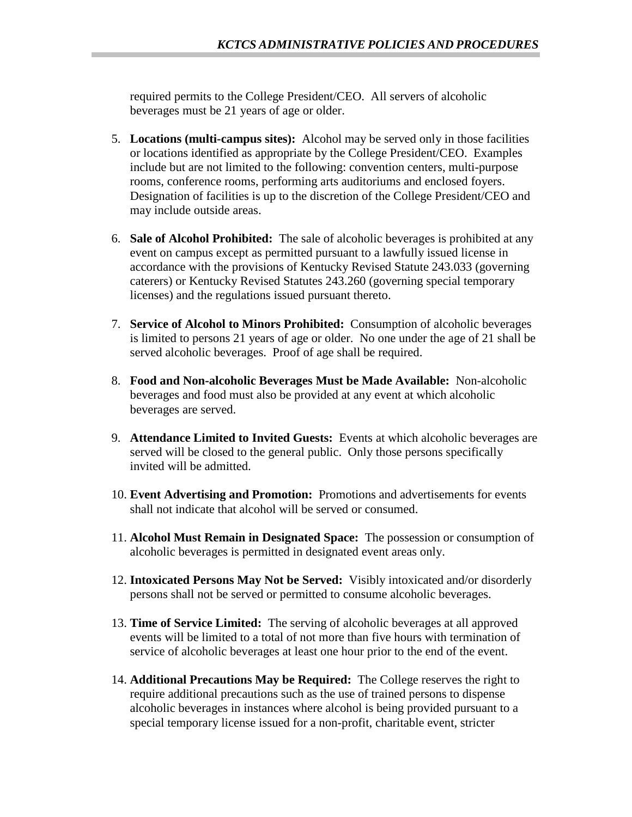required permits to the College President/CEO. All servers of alcoholic beverages must be 21 years of age or older.

- 5. **Locations (multi-campus sites):** Alcohol may be served only in those facilities or locations identified as appropriate by the College President/CEO. Examples include but are not limited to the following: convention centers, multi-purpose rooms, conference rooms, performing arts auditoriums and enclosed foyers. Designation of facilities is up to the discretion of the College President/CEO and may include outside areas.
- 6. **Sale of Alcohol Prohibited:** The sale of alcoholic beverages is prohibited at any event on campus except as permitted pursuant to a lawfully issued license in accordance with the provisions of Kentucky Revised Statute 243.033 (governing caterers) or Kentucky Revised Statutes 243.260 (governing special temporary licenses) and the regulations issued pursuant thereto.
- 7. **Service of Alcohol to Minors Prohibited:** Consumption of alcoholic beverages is limited to persons 21 years of age or older. No one under the age of 21 shall be served alcoholic beverages. Proof of age shall be required.
- 8. **Food and Non-alcoholic Beverages Must be Made Available:** Non-alcoholic beverages and food must also be provided at any event at which alcoholic beverages are served.
- 9. **Attendance Limited to Invited Guests:** Events at which alcoholic beverages are served will be closed to the general public. Only those persons specifically invited will be admitted.
- 10. **Event Advertising and Promotion:** Promotions and advertisements for events shall not indicate that alcohol will be served or consumed.
- 11. **Alcohol Must Remain in Designated Space:** The possession or consumption of alcoholic beverages is permitted in designated event areas only.
- 12. **Intoxicated Persons May Not be Served:** Visibly intoxicated and/or disorderly persons shall not be served or permitted to consume alcoholic beverages.
- 13. **Time of Service Limited:** The serving of alcoholic beverages at all approved events will be limited to a total of not more than five hours with termination of service of alcoholic beverages at least one hour prior to the end of the event.
- 14. **Additional Precautions May be Required:** The College reserves the right to require additional precautions such as the use of trained persons to dispense alcoholic beverages in instances where alcohol is being provided pursuant to a special temporary license issued for a non-profit, charitable event, stricter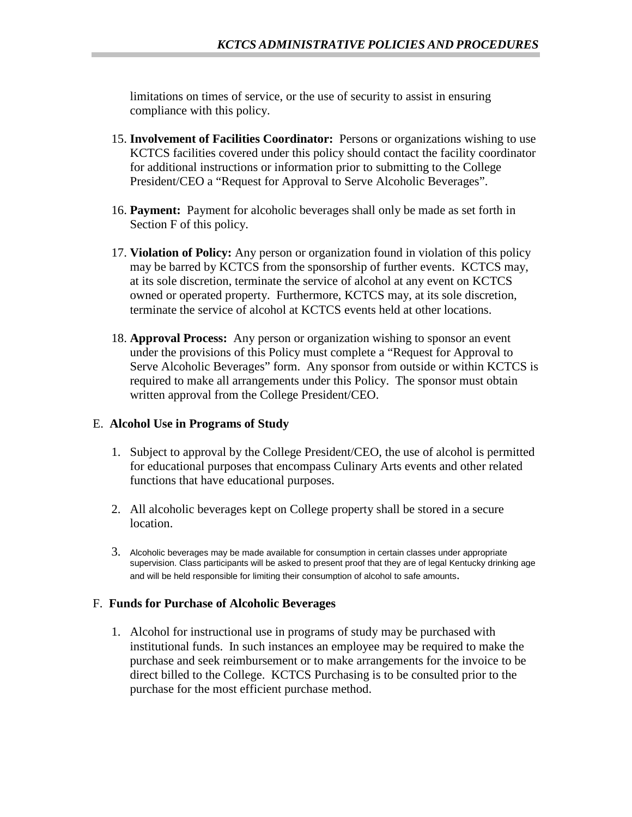limitations on times of service, or the use of security to assist in ensuring compliance with this policy.

- 15. **Involvement of Facilities Coordinator:** Persons or organizations wishing to use KCTCS facilities covered under this policy should contact the facility coordinator for additional instructions or information prior to submitting to the College President/CEO a "Request for Approval to Serve Alcoholic Beverages".
- 16. **Payment:** Payment for alcoholic beverages shall only be made as set forth in Section F of this policy.
- 17. **Violation of Policy:** Any person or organization found in violation of this policy may be barred by KCTCS from the sponsorship of further events. KCTCS may, at its sole discretion, terminate the service of alcohol at any event on KCTCS owned or operated property. Furthermore, KCTCS may, at its sole discretion, terminate the service of alcohol at KCTCS events held at other locations.
- 18. **Approval Process:** Any person or organization wishing to sponsor an event under the provisions of this Policy must complete a "Request for Approval to Serve Alcoholic Beverages" form. Any sponsor from outside or within KCTCS is required to make all arrangements under this Policy. The sponsor must obtain written approval from the College President/CEO.

#### E. **Alcohol Use in Programs of Study**

- 1. Subject to approval by the College President/CEO, the use of alcohol is permitted for educational purposes that encompass Culinary Arts events and other related functions that have educational purposes.
- 2. All alcoholic beverages kept on College property shall be stored in a secure location.
- 3. Alcoholic beverages may be made available for consumption in certain classes under appropriate supervision. Class participants will be asked to present proof that they are of legal Kentucky drinking age and will be held responsible for limiting their consumption of alcohol to safe amounts.

#### F. **Funds for Purchase of Alcoholic Beverages**

1. Alcohol for instructional use in programs of study may be purchased with institutional funds. In such instances an employee may be required to make the purchase and seek reimbursement or to make arrangements for the invoice to be direct billed to the College. KCTCS Purchasing is to be consulted prior to the purchase for the most efficient purchase method.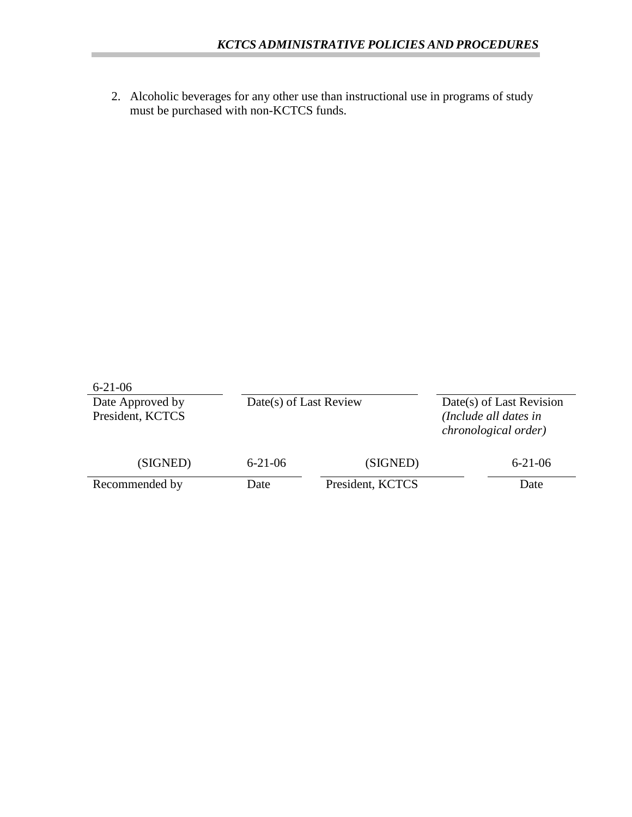2. Alcoholic beverages for any other use than instructional use in programs of study must be purchased with non-KCTCS funds.

| $6 - 21 - 06$    |                        |                  |                          |                                               |
|------------------|------------------------|------------------|--------------------------|-----------------------------------------------|
| Date Approved by | Date(s) of Last Review |                  | Date(s) of Last Revision |                                               |
| President, KCTCS |                        |                  |                          | (Include all dates in<br>chronological order) |
| (SIGNED)         | $6 - 21 - 06$          | (SIGNED)         |                          | $6 - 21 - 06$                                 |
| Recommended by   | Date                   | President, KCTCS |                          | Date                                          |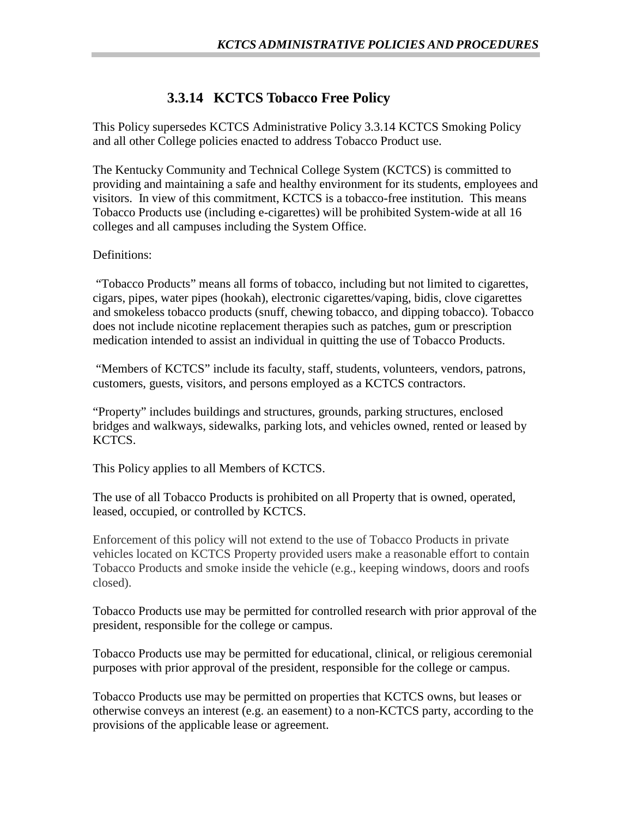## **3.3.14 KCTCS Tobacco Free Policy**

This Policy supersedes KCTCS Administrative Policy 3.3.14 KCTCS Smoking Policy and all other College policies enacted to address Tobacco Product use.

The Kentucky Community and Technical College System (KCTCS) is committed to providing and maintaining a safe and healthy environment for its students, employees and visitors. In view of this commitment, KCTCS is a tobacco-free institution. This means Tobacco Products use (including e-cigarettes) will be prohibited System-wide at all 16 colleges and all campuses including the System Office.

#### Definitions:

"Tobacco Products" means all forms of tobacco, including but not limited to cigarettes, cigars, pipes, water pipes (hookah), electronic cigarettes/vaping, bidis, clove cigarettes and smokeless tobacco products (snuff, chewing tobacco, and dipping tobacco). Tobacco does not include nicotine replacement therapies such as patches, gum or prescription medication intended to assist an individual in quitting the use of Tobacco Products.

"Members of KCTCS" include its faculty, staff, students, volunteers, vendors, patrons, customers, guests, visitors, and persons employed as a KCTCS contractors.

"Property" includes buildings and structures, grounds, parking structures, enclosed bridges and walkways, sidewalks, parking lots, and vehicles owned, rented or leased by KCTCS.

This Policy applies to all Members of KCTCS.

The use of all Tobacco Products is prohibited on all Property that is owned, operated, leased, occupied, or controlled by KCTCS.

Enforcement of this policy will not extend to the use of Tobacco Products in private vehicles located on KCTCS Property provided users make a reasonable effort to contain Tobacco Products and smoke inside the vehicle (e.g., keeping windows, doors and roofs closed).

Tobacco Products use may be permitted for controlled research with prior approval of the president, responsible for the college or campus.

Tobacco Products use may be permitted for educational, clinical, or religious ceremonial purposes with prior approval of the president, responsible for the college or campus.

Tobacco Products use may be permitted on properties that KCTCS owns, but leases or otherwise conveys an interest (e.g. an easement) to a non-KCTCS party, according to the provisions of the applicable lease or agreement.